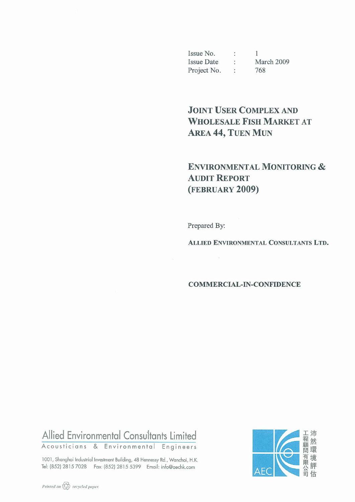Issue No. : 1<br>Issue Date : March 2009<br>Project No. : 768

# **JOINT USER COMPLEX AND WHOLESALE FISH MARKET AT AREA 44, TUEN MUN**

# **ENVIRONMENTAL MONITORING & AUDIT REPORT** (FEBRUARY 2009)

Prepared By:

**ALLIED ENVIRONMENTAL CONSULTANTS LTD.** 

#### **COMMERCIAL-IN-CONFIDENCE**

# Allied Environmental Consultants Limited

Acousticians & Environmental Engineers

1001, Shanghai Industrial Investment Building, 48 Hennessy Rd., Wanchai, H.K. Tel: (852) 2815 7028 Fax: (852) 2815 5399 Email: info@aechk.com

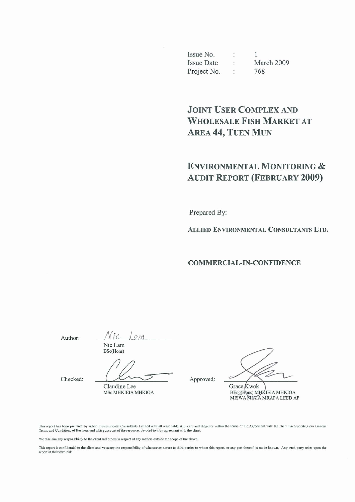Issue No.  $\ddot{\ddot{\phantom{.}}}$  $\mathbf{1}$ **Issue Date**  $\ddot{\cdot}$ March 2009 Project No. 768  $\ddot{\cdot}$ 

# **JOINT USER COMPLEX AND WHOLESALE FISH MARKET AT** AREA 44, TUEN MUN

# **ENVIRONMENTAL MONITORING & AUDIT REPORT (FEBRUARY 2009)**

Prepared By:

ALLIED ENVIRONMENTAL CONSULTANTS LTD.

**COMMERCIAL-IN-CONFIDENCE** 

Author:

 $\alpha$ *m* Nic Lam BSc(Hons)

Claudine Lee

Checked:

MSc MHKIEIA MHKIOA

Approved:

Grace Kwok

BEng(Hons) MHKIEIA MHKIOA MISWA MIAIA MRAPA LEED AP

This report has been prepared by Allied Environmental Consultants Limited with all reasonable skill, care and diligence within the terms of the Agreement with the client, incorporating our General Terms and Conditions of B

We disclaim any responsibility to the client and others in respect of any matters outside the scope of the above.

This report is confidential to the client and we accept no responsibility of whatsoever nature to third parties to whom this report, or any part thereof, is made known. Any such party relies upon the report at their own risk.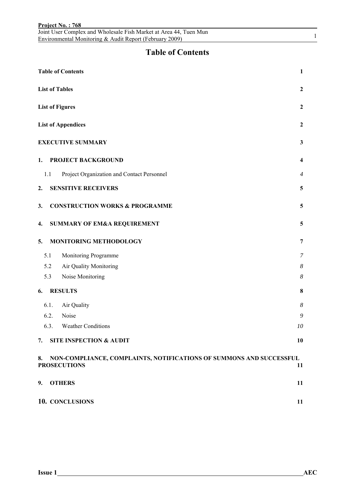|     |      | Joint User Complex and Wholesale Fish Market at Area 44, Tuen Mun<br>Environmental Monitoring & Audit Report (February 2009) |                  | $\mathbf{1}$ |
|-----|------|------------------------------------------------------------------------------------------------------------------------------|------------------|--------------|
|     |      | <b>Table of Contents</b>                                                                                                     |                  |              |
|     |      | <b>Table of Contents</b>                                                                                                     | $\mathbf{1}$     |              |
|     |      | <b>List of Tables</b>                                                                                                        | 2                |              |
|     |      | <b>List of Figures</b>                                                                                                       | 2                |              |
|     |      | <b>List of Appendices</b>                                                                                                    | $\overline{2}$   |              |
|     |      | <b>EXECUTIVE SUMMARY</b>                                                                                                     | 3                |              |
| 1.  |      | PROJECT BACKGROUND                                                                                                           | 4                |              |
| 1.1 |      | Project Organization and Contact Personnel                                                                                   | 4                |              |
| 2.  |      | <b>SENSITIVE RECEIVERS</b>                                                                                                   | 5                |              |
| 3.  |      | <b>CONSTRUCTION WORKS &amp; PROGRAMME</b>                                                                                    | 5                |              |
| 4.  |      | <b>SUMMARY OF EM&amp;A REQUIREMENT</b>                                                                                       | 5                |              |
| 5.  |      | MONITORING METHODOLOGY                                                                                                       | 7                |              |
| 5.1 |      | Monitoring Programme                                                                                                         | 7                |              |
| 5.2 |      | Air Quality Monitoring                                                                                                       | $\boldsymbol{8}$ |              |
| 5.3 |      | Noise Monitoring                                                                                                             | 8                |              |
| 6.  |      | <b>RESULTS</b>                                                                                                               | 8                |              |
|     | 6.1. | Air Quality                                                                                                                  | 8                |              |
|     | 6.2. | Noise                                                                                                                        | 9                |              |
|     | 6.3. | <b>Weather Conditions</b>                                                                                                    | 10               |              |
| 7.  |      | <b>SITE INSPECTION &amp; AUDIT</b>                                                                                           | 10               |              |
| 8.  |      | NON-COMPLIANCE, COMPLAINTS, NOTIFICATIONS OF SUMMONS AND SUCCESSFUL<br><b>PROSECUTIONS</b>                                   | 11               |              |
| 9.  |      | <b>OTHERS</b>                                                                                                                | 11               |              |
|     |      | 10. CONCLUSIONS                                                                                                              | 11               |              |

**Project No. : 768**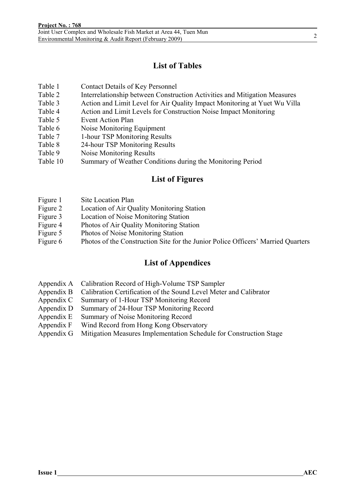### **List of Tables**

- Table 1 Contact Details of Key Personnel
- Table 2 Interrelationship between Construction Activities and Mitigation Measures
- Table 3 Action and Limit Level for Air Quality Impact Monitoring at Yuet Wu Villa
- Table 4 Action and Limit Levels for Construction Noise Impact Monitoring
- Table 5 Event Action Plan
- Table 6 Noise Monitoring Equipment
- Table 7 1-hour TSP Monitoring Results
- Table 8 24-hour TSP Monitoring Results
- Table 9 Noise Monitoring Results
- Table 10 Summary of Weather Conditions during the Monitoring Period

### **List of Figures**

- Figure 1 Site Location Plan
- Figure 2 Location of Air Quality Monitoring Station
- Figure 3 Location of Noise Monitoring Station
- Figure 4 Photos of Air Quality Monitoring Station
- Figure 5 Photos of Noise Monitoring Station
- Figure 6 Photos of the Construction Site for the Junior Police Officers' Married Quarters

### **List of Appendices**

- Appendix A Calibration Record of High-Volume TSP Sampler
- Appendix B Calibration Certification of the Sound Level Meter and Calibrator
- Appendix C Summary of 1-Hour TSP Monitoring Record
- Appendix D Summary of 24-Hour TSP Monitoring Record
- Appendix E Summary of Noise Monitoring Record
- Appendix F Wind Record from Hong Kong Observatory
- Appendix G Mitigation Measures Implementation Schedule for Construction Stage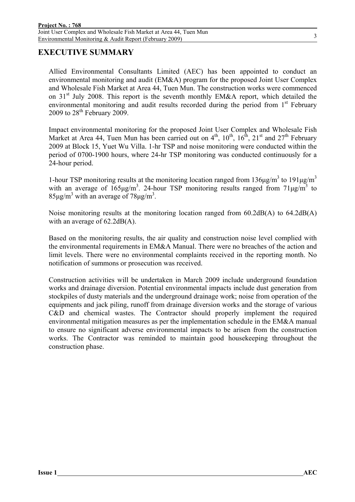### **EXECUTIVE SUMMARY**

Allied Environmental Consultants Limited (AEC) has been appointed to conduct an environmental monitoring and audit (EM&A) program for the proposed Joint User Complex and Wholesale Fish Market at Area 44, Tuen Mun. The construction works were commenced on  $31<sup>st</sup>$  July 2008. This report is the seventh monthly EM&A report, which detailed the environmental monitoring and audit results recorded during the period from  $1<sup>st</sup>$  February 2009 to  $28<sup>th</sup>$  February 2009.

Impact environmental monitoring for the proposed Joint User Complex and Wholesale Fish Market at Area 44, Tuen Mun has been carried out on  $4<sup>th</sup>$ ,  $10<sup>th</sup>$ ,  $16<sup>th</sup>$ ,  $21<sup>st</sup>$  and  $27<sup>th</sup>$  February 2009 at Block 15, Yuet Wu Villa. 1-hr TSP and noise monitoring were conducted within the period of 0700-1900 hours, where 24-hr TSP monitoring was conducted continuously for a 24-hour period.

1-hour TSP monitoring results at the monitoring location ranged from  $136\mu\text{g/m}^3$  to  $191\mu\text{g/m}^3$ with an average of  $165\mu g/m^3$ . 24-hour TSP monitoring results ranged from  $71\mu g/m^3$  to  $85 \mu g/m^3$  with an average of  $78 \mu g/m^3$ .

Noise monitoring results at the monitoring location ranged from 60.2dB(A) to 64.2dB(A) with an average of  $62.2dB(A)$ .

Based on the monitoring results, the air quality and construction noise level complied with the environmental requirements in EM&A Manual. There were no breaches of the action and limit levels. There were no environmental complaints received in the reporting month. No notification of summons or prosecution was received.

Construction activities will be undertaken in March 2009 include underground foundation works and drainage diversion. Potential environmental impacts include dust generation from stockpiles of dusty materials and the underground drainage work; noise from operation of the equipments and jack piling, runoff from drainage diversion works and the storage of various C&D and chemical wastes. The Contractor should properly implement the required environmental mitigation measures as per the implementation schedule in the EM&A manual to ensure no significant adverse environmental impacts to be arisen from the construction works. The Contractor was reminded to maintain good housekeeping throughout the construction phase.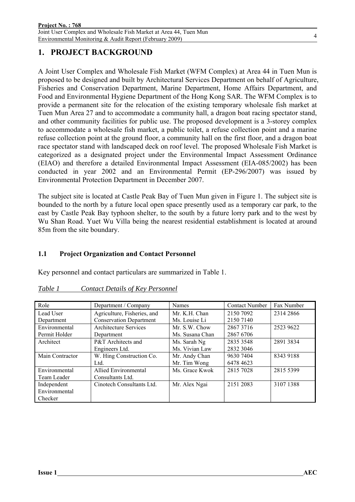### **1. PROJECT BACKGROUND**

A Joint User Complex and Wholesale Fish Market (WFM Complex) at Area 44 in Tuen Mun is proposed to be designed and built by Architectural Services Department on behalf of Agriculture, Fisheries and Conservation Department, Marine Department, Home Affairs Department, and Food and Environmental Hygiene Department of the Hong Kong SAR. The WFM Complex is to provide a permanent site for the relocation of the existing temporary wholesale fish market at Tuen Mun Area 27 and to accommodate a community hall, a dragon boat racing spectator stand, and other community facilities for public use. The proposed development is a 3-storey complex to accommodate a wholesale fish market, a public toilet, a refuse collection point and a marine refuse collection point at the ground floor, a community hall on the first floor, and a dragon boat race spectator stand with landscaped deck on roof level. The proposed Wholesale Fish Market is categorized as a designated project under the Environmental Impact Assessment Ordinance (EIAO) and therefore a detailed Environmental Impact Assessment (EIA-085/2002) has been conducted in year 2002 and an Environmental Permit (EP-296/2007) was issued by Environmental Protection Department in December 2007.

The subject site is located at Castle Peak Bay of Tuen Mun given in Figure 1. The subject site is bounded to the north by a future local open space presently used as a temporary car park, to the east by Castle Peak Bay typhoon shelter, to the south by a future lorry park and to the west by Wu Shan Road. Yuet Wu Villa being the nearest residential establishment is located at around 85m from the site boundary.

### **1.1 Project Organization and Contact Personnel**

Key personnel and contact particulars are summarized in Table 1.

| Role            | Department / Company           | <b>Names</b>    | <b>Contact Number</b> | Fax Number |
|-----------------|--------------------------------|-----------------|-----------------------|------------|
| Lead User       | Agriculture, Fisheries, and    | Mr. K.H. Chan   | 2150 7092             | 2314 2866  |
| Department      | <b>Conservation Department</b> | Ms. Louise Li   | 2150 7140             |            |
| Environmental   | Architecture Services          | Mr. S.W. Chow   | 28673716              | 2523 9622  |
| Permit Holder   | Department                     | Ms. Susana Chan | 2867 6706             |            |
| Architect       | P&T Architects and             | Ms. Sarah Ng    | 2835 3548             | 2891 3834  |
|                 | Engineers Ltd.                 | Ms. Vivian Law  | 2832 3046             |            |
| Main Contractor | W. Hing Construction Co.       | Mr. Andy Chan   | 9630 7404             | 8343 9188  |
|                 | Ltd.                           | Mr. Tim Wong    | 6478 4623             |            |
| Environmental   | <b>Allied Environmental</b>    | Ms. Grace Kwok  | 2815 7028             | 2815 5399  |
| Team Leader     | Consultants Ltd.               |                 |                       |            |
| Independent     | Cinotech Consultants Ltd.      | Mr. Alex Ngai   | 2151 2083             | 3107 1388  |
| Environmental   |                                |                 |                       |            |
| Checker         |                                |                 |                       |            |

#### *Table 1 Contact Details of Key Personnel*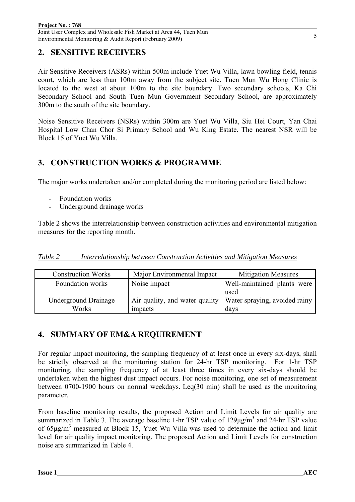### **2. SENSITIVE RECEIVERS**

Air Sensitive Receivers (ASRs) within 500m include Yuet Wu Villa, lawn bowling field, tennis court, which are less than 100m away from the subject site. Tuen Mun Wu Hong Clinic is located to the west at about 100m to the site boundary. Two secondary schools, Ka Chi Secondary School and South Tuen Mun Government Secondary School, are approximately 300m to the south of the site boundary.

Noise Sensitive Receivers (NSRs) within 300m are Yuet Wu Villa, Siu Hei Court, Yan Chai Hospital Low Chan Chor Si Primary School and Wu King Estate. The nearest NSR will be Block 15 of Yuet Wu Villa.

### **3. CONSTRUCTION WORKS & PROGRAMME**

The major works undertaken and/or completed during the monitoring period are listed below:

- Foundation works
- Underground drainage works

Table 2 shows the interrelationship between construction activities and environmental mitigation measures for the reporting month.

|--|

| <b>Construction Works</b>   | Major Environmental Impact     | <b>Mitigation Measures</b>    |
|-----------------------------|--------------------------------|-------------------------------|
| Foundation works            | Noise impact                   | Well-maintained plants were   |
|                             |                                | used                          |
| <b>Underground Drainage</b> | Air quality, and water quality | Water spraying, avoided rainy |
| Works                       | impacts                        | davs                          |

### **4. SUMMARY OF EM&A REQUIREMENT**

For regular impact monitoring, the sampling frequency of at least once in every six-days, shall be strictly observed at the monitoring station for 24-hr TSP monitoring. For 1-hr TSP monitoring, the sampling frequency of at least three times in every six-days should be undertaken when the highest dust impact occurs. For noise monitoring, one set of measurement between 0700-1900 hours on normal weekdays. Leq(30 min) shall be used as the monitoring parameter.

From baseline monitoring results, the proposed Action and Limit Levels for air quality are summarized in Table 3. The average baseline 1-hr TSP value of  $129\mu g/m<sup>3</sup>$  and 24-hr TSP value of  $65\mu\text{g/m}^3$  measured at Block 15, Yuet Wu Villa was used to determine the action and limit level for air quality impact monitoring. The proposed Action and Limit Levels for construction noise are summarized in Table 4.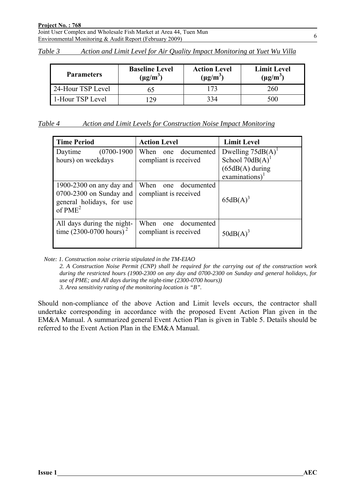| Table 3 | Action and Limit Level for Air Quality Impact Monitoring at Yuet Wu Villa |  |  |  |  |
|---------|---------------------------------------------------------------------------|--|--|--|--|
|         |                                                                           |  |  |  |  |

| <b>Parameters</b> | <b>Baseline Level</b><br>$(\mu g/m^3)$ | <b>Action Level</b><br>$(\mu g/m^3)$ | <b>Limit Level</b><br>$(\mu g/m^3)$ |
|-------------------|----------------------------------------|--------------------------------------|-------------------------------------|
| 24-Hour TSP Level |                                        |                                      | 260                                 |
| 1-Hour TSP Level  | 29                                     | 334                                  | 500                                 |

| Table 4<br>Action and Limit Levels for Construction Noise Impact Monitoring |
|-----------------------------------------------------------------------------|
|-----------------------------------------------------------------------------|

| <b>Time Period</b>                                                                                      | <b>Action Level</b>                                | <b>Limit Level</b>                                                                 |
|---------------------------------------------------------------------------------------------------------|----------------------------------------------------|------------------------------------------------------------------------------------|
| $(0700-1900)$<br>Daytime<br>hours) on weekdays                                                          | documented<br>When<br>one<br>compliant is received | Dwelling $75dB(A)^T$<br>School $70dB(A)$<br>$(65dB(A)$ during<br>examinations) $1$ |
| 1900-2300 on any day and<br>0700-2300 on Sunday and<br>general holidays, for use<br>of PME <sup>2</sup> | When<br>one documented<br>compliant is received    | $65dB(A)^3$                                                                        |
| All days during the night-<br>time $(2300 - 0700$ hours) <sup>2</sup>                                   | When<br>documented<br>one<br>compliant is received | $50dB(A)^3$                                                                        |

*Note: 1. Construction noise criteria stipulated in the TM-EIAO* 

*2. A Construction Noise Permit (CNP) shall be required for the carrying out of the construction work during the restricted hours (1900-2300 on any day and 0700-2300 on Sunday and general holidays, for use of PME; and All days during the night-time (2300-0700 hours)) 3. Area sensitivity rating of the monitoring location is "B".* 

Should non-compliance of the above Action and Limit levels occurs, the contractor shall undertake corresponding in accordance with the proposed Event Action Plan given in the EM&A Manual. A summarized general Event Action Plan is given in Table 5. Details should be referred to the Event Action Plan in the EM&A Manual.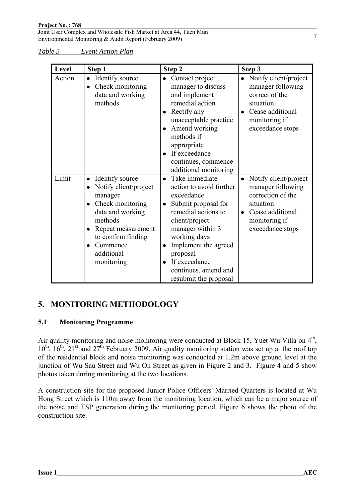*Table 5 Event Action Plan*

| Level  | Step 1                                                                                                                                                                                                  | Step 2                                                                                                                                                                                                                                                                                                                | Step 3                                                                                                                                                          |
|--------|---------------------------------------------------------------------------------------------------------------------------------------------------------------------------------------------------------|-----------------------------------------------------------------------------------------------------------------------------------------------------------------------------------------------------------------------------------------------------------------------------------------------------------------------|-----------------------------------------------------------------------------------------------------------------------------------------------------------------|
| Action | • Identify source<br>Check monitoring<br>data and working<br>methods                                                                                                                                    | • Contact project<br>manager to discuss<br>and implement<br>remedial action<br>Rectify any<br>unacceptable practice<br>Amend working<br>methods if<br>appropriate<br>If exceedance<br>continues, commence<br>additional monitoring                                                                                    | • Notify client/project<br>manager following<br>correct of the<br>situation<br>Cease additional<br>$\bullet$<br>monitoring if<br>exceedance stops               |
| Limit  | Identify source<br>$\bullet$<br>Notify client/project<br>manager<br>Check monitoring<br>data and working<br>methods<br>Repeat measurement<br>to confirm finding<br>Commence<br>additional<br>monitoring | Take immediate<br>$\bullet$<br>action to avoid further<br>exceedance<br>Submit proposal for<br>$\bullet$<br>remedial actions to<br>client/project<br>manager within 3<br>working days<br>Implement the agreed<br>$\bullet$<br>proposal<br>If exceedance<br>$\bullet$<br>continues, amend and<br>resubmit the proposal | Notify client/project<br>$\bullet$<br>manager following<br>correction of the<br>situation<br>Cease additional<br>$\bullet$<br>monitoring if<br>exceedance stops |

# **5. MONITORING METHODOLOGY**

### **5.1 Monitoring Programme**

Air quality monitoring and noise monitoring were conducted at Block 15, Yuet Wu Villa on 4<sup>th</sup>,  $10^{th}$ ,  $16^{th}$ ,  $21^{st}$  and  $27^{th}$  February 2009. Air quality monitoring station was set up at the roof top of the residential block and noise monitoring was conducted at 1.2m above ground level at the junction of Wu Sau Street and Wu On Street as given in Figure 2 and 3. Figure 4 and 5 show photos taken during monitoring at the two locations.

A construction site for the proposed Junior Police Officers' Married Quarters is located at Wu Hong Street which is 110m away from the monitoring location, which can be a major source of the noise and TSP generation during the monitoring period. Figure 6 shows the photo of the construction site.

7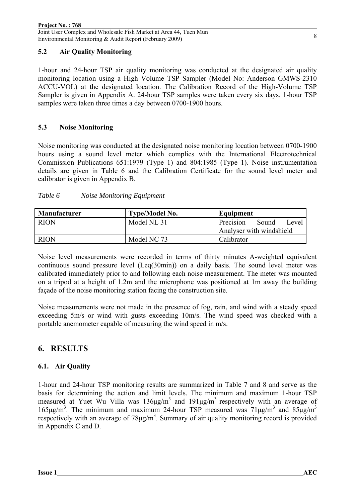#### **5.2 Air Quality Monitoring**

1-hour and 24-hour TSP air quality monitoring was conducted at the designated air quality monitoring location using a High Volume TSP Sampler (Model No: Anderson GMWS-2310 ACCU-VOL) at the designated location. The Calibration Record of the High-Volume TSP Sampler is given in Appendix A. 24-hour TSP samples were taken every six days. 1-hour TSP samples were taken three times a day between 0700-1900 hours.

#### **5.3 Noise Monitoring**

Noise monitoring was conducted at the designated noise monitoring location between 0700-1900 hours using a sound level meter which complies with the International Electrotechnical Commission Publications 651:1979 (Type 1) and 804:1985 (Type 1). Noise instrumentation details are given in Table 6 and the Calibration Certificate for the sound level meter and calibrator is given in Appendix B.

#### *Table 6 Noise Monitoring Equipment*

| <b>Manufacturer</b> | <b>Type/Model No.</b> | Equipment                   |
|---------------------|-----------------------|-----------------------------|
| <b>RION</b>         | Model NL 31           | Precision<br>Sound<br>Level |
|                     |                       | Analyser with windshield    |
| <b>RION</b>         | Model NC 73           | Calibrator                  |

Noise level measurements were recorded in terms of thirty minutes A-weighted equivalent continuous sound pressure level (Leq(30min)) on a daily basis. The sound level meter was calibrated immediately prior to and following each noise measurement. The meter was mounted on a tripod at a height of 1.2m and the microphone was positioned at 1m away the building façade of the noise monitoring station facing the construction site.

Noise measurements were not made in the presence of fog, rain, and wind with a steady speed exceeding 5m/s or wind with gusts exceeding 10m/s. The wind speed was checked with a portable anemometer capable of measuring the wind speed in m/s.

### **6. RESULTS**

### **6.1. Air Quality**

1-hour and 24-hour TSP monitoring results are summarized in Table 7 and 8 and serve as the basis for determining the action and limit levels. The minimum and maximum 1-hour TSP measured at Yuet Wu Villa was  $136\mu\text{g/m}^3$  and  $191\mu\text{g/m}^3$  respectively with an average of 165μg/m<sup>3</sup>. The minimum and maximum 24-hour TSP measured was  $71\mu$ g/m<sup>3</sup> and  $85\mu$ g/m<sup>3</sup> respectively with an average of  $78\mu\text{g/m}^3$ . Summary of air quality monitoring record is provided in Appendix C and D.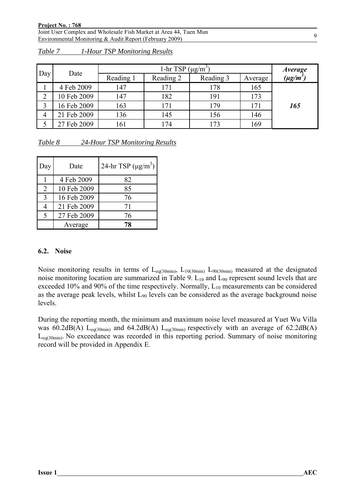|     |             |           | 1-hr TSP $(\mu g/m^3)$ |           |         | <i>Average</i> |
|-----|-------------|-----------|------------------------|-----------|---------|----------------|
| Day | Date        | Reading 1 | Reading 2              | Reading 3 | Average | $(\mu g/m^3)$  |
|     | 4 Feb 2009  | 147       | 171                    | 178       | 165     |                |
| ◠   | 10 Feb 2009 | 147       | 182                    | 191       | 173     |                |
|     | 16 Feb 2009 | 163       | 171                    | 179       | 171     | 165            |
| 4   | 21 Feb 2009 | 136       | 145                    | 156       | 146     |                |
|     | 27 Feb 2009 | 161       | l 74                   | .73       | 169     |                |

|--|

| Table 8 | 24-Hour TSP Monitoring Results |  |
|---------|--------------------------------|--|
|         |                                |  |

| Day         | Date        | 24-hr TSP $(\mu g/m^3)$ |
|-------------|-------------|-------------------------|
|             | 4 Feb 2009  | 82                      |
| 2           | 10 Feb 2009 | 85                      |
| $\mathbf 3$ | 16 Feb 2009 | 76                      |
|             | 21 Feb 2009 | 71                      |
| $\varsigma$ | 27 Feb 2009 | 76                      |
|             | Average     | 78                      |

#### **6.2. Noise**

Noise monitoring results in terms of  $L_{eq(30min)}$ ,  $L_{10(30min)}$   $L_{90(30min)}$  measured at the designated noise monitoring location are summarized in Table 9.  $L_{10}$  and  $L_{90}$  represent sound levels that are exceeded 10% and 90% of the time respectively. Normally,  $L_{10}$  measurements can be considered as the average peak levels, whilst  $L_{90}$  levels can be considered as the average background noise levels.

During the reporting month, the minimum and maximum noise level measured at Yuet Wu Villa was 60.2dB(A) L<sub>eq(30min)</sub> and 64.2dB(A) L<sub>eq(30min)</sub> respectively with an average of 62.2dB(A) Leq(30min). No exceedance was recorded in this reporting period. Summary of noise monitoring record will be provided in Appendix E.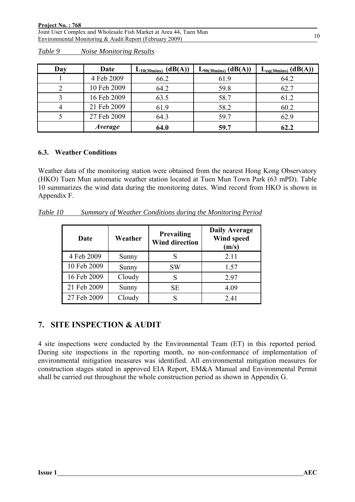| Day | Date           | $L_{10(30\text{mins})}$ (dB(A)) | $L_{90(30\text{mins})}$ (dB(A)) | $L_{eq(30 mins)}$ $(dB(A))$ |
|-----|----------------|---------------------------------|---------------------------------|-----------------------------|
|     | 4 Feb 2009     | 66.2                            | 61.9                            | 64.2                        |
|     | 10 Feb 2009    | 64.2                            | 59.8                            | 62.7                        |
|     | 16 Feb 2009    | 63.5                            | 58.7                            | 61.2                        |
|     | 21 Feb 2009    | 61.9                            | 58.2                            | 60.2                        |
|     | 27 Feb 2009    | 64.3                            | 59.7                            | 62.9                        |
|     | <i>Average</i> | 64.0                            | 59.7                            | 62.2                        |

*Table 9 Noise Monitoring Results*

#### **6.3. Weather Conditions**

Weather data of the monitoring station were obtained from the nearest Hong Kong Observatory (HKO) Tuen Mun automatic weather station located at Tuen Mun Town Park (63 mPD). Table 10 summarizes the wind data during the monitoring dates. Wind record from HKO is shown in Appendix F.

*Table 10 Summary of Weather Conditions during the Monitoring Period*

| Date        | Weather | <b>Prevailing</b><br><b>Wind direction</b> | <b>Daily Average</b><br><b>Wind speed</b><br>(m/s) |
|-------------|---------|--------------------------------------------|----------------------------------------------------|
| 4 Feb 2009  | Sunny   | S                                          | 2.11                                               |
| 10 Feb 2009 | Sunny   | SW                                         | 1.57                                               |
| 16 Feb 2009 | Cloudy  | S                                          | 2.97                                               |
| 21 Feb 2009 | Sunny   | <b>SE</b>                                  | 4.09                                               |
| 27 Feb 2009 | Cloudy  |                                            | 2.41                                               |

### **7. SITE INSPECTION & AUDIT**

4 site inspections were conducted by the Environmental Team (ET) in this reported period. During site inspections in the reporting month, no non-conformance of implementation of environmental mitigation measures was identified. All environmental mitigation measures for construction stages stated in approved EIA Report, EM&A Manual and Environmental Permit shall be carried out throughout the whole construction period as shown in Appendix G.